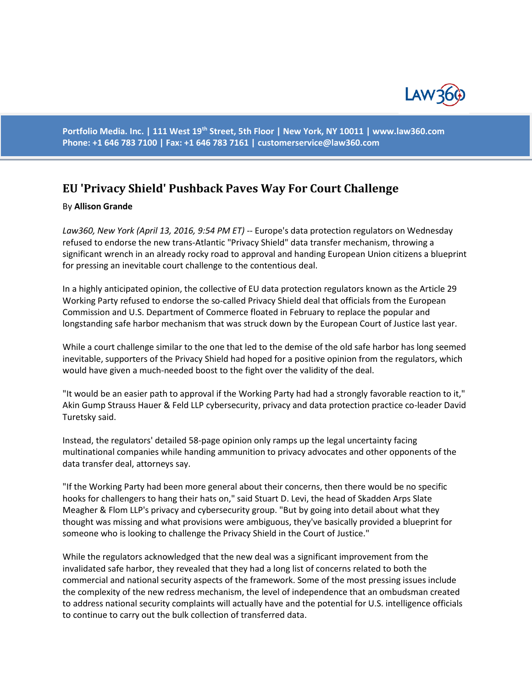

**Portfolio Media. Inc. | 111 West 19th Street, 5th Floor | New York, NY 10011 | www.law360.com Phone: +1 646 783 7100 | Fax: +1 646 783 7161 | [customerservice@law360.com](mailto:customerservice@law360.com)**

## **EU 'Privacy Shield' Pushback Paves Way For Court Challenge**

## By **Allison Grande**

*Law360, New York (April 13, 2016, 9:54 PM ET)* -- Europe's data protection regulators on Wednesday refused to endorse the new trans-Atlantic "Privacy Shield" data transfer mechanism, throwing a significant wrench in an already rocky road to approval and handing European Union citizens a blueprint for pressing an inevitable court challenge to the contentious deal.

In a highly anticipated opinion, the collective of EU data protection regulators known as the Article 29 Working Party [refused to endorse](https://www.law360.com/privacy/articles/783993/eu-regulators-won-t-back-privacy-shield-data-transfer-pact) the so-called Privacy Shield deal that officials from the [European](https://www.law360.com/agency/european-commission)  [Commission](https://www.law360.com/agency/european-commission) and [U.S. Department of Commerce](https://www.law360.com/agency/department-of-commerce) [floated in February](https://www.law360.com/articles/753953/us-eu-agree-to-new-transatlantic-data-transfer-rules) to replace the popular and longstanding safe harbor mechanism that was struck down by the European Court of Justice last year.

While a court challenge similar to the one that led to the demise of the old safe harbor has long seemed inevitable, supporters of the Privacy Shield had hoped for a positive opinion from the regulators, which would have given a much-needed boost to the fight over the validity of the deal.

"It would be an easier path to approval if the Working Party had had a strongly favorable reaction to it," [Akin Gump Strauss Hauer & Feld LLP](https://www.law360.com/firm/akin-gump) cybersecurity, privacy and data protection practice co-leader David Turetsky said.

Instead, the regulators' detailed 58-page opinion only ramps up the legal uncertainty facing multinational companies while handing ammunition to privacy advocates and other opponents of the data transfer deal, attorneys say.

"If the Working Party had been more general about their concerns, then there would be no specific hooks for challengers to hang their hats on," said Stuart D. Levi, the head of [Skadden Arps Slate](https://www.law360.com/firm/skadden)  [Meagher & Flom LLP's](https://www.law360.com/firm/skadden) privacy and cybersecurity group. "But by going into detail about what they thought was missing and what provisions were ambiguous, they've basically provided a blueprint for someone who is looking to challenge the Privacy Shield in the Court of Justice."

While the regulators acknowledged that the new deal was a significant improvement from the invalidated safe harbor, they revealed that they had a long list of concerns related to both the commercial and national security aspects of the framework. Some of the most pressing issues include the complexity of the new redress mechanism, the level of independence that an ombudsman created to address national security complaints will actually have and the potential for U.S. intelligence officials to continue to carry out the bulk collection of transferred data.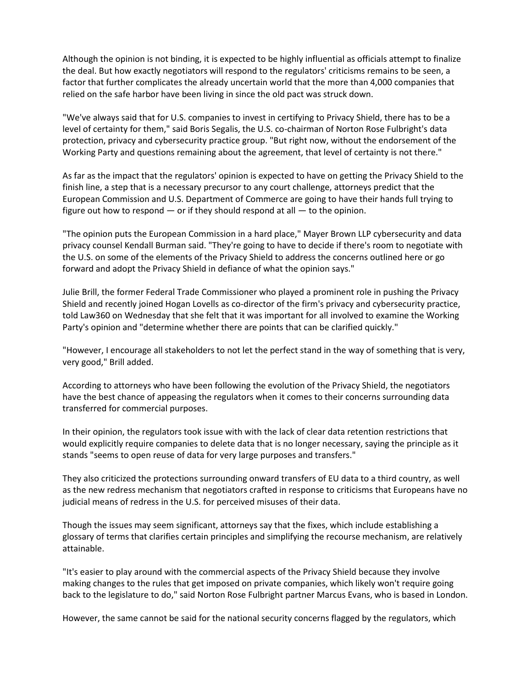Although the opinion is not binding, it is expected to be highly influential as officials attempt to finalize the deal. But how exactly negotiators will respond to the regulators' criticisms remains to be seen, a factor that further complicates the already uncertain world that the more than 4,000 companies that relied on the safe harbor have been living in since the old pact was struck down.

"We've always said that for U.S. companies to invest in certifying to Privacy Shield, there has to be a level of certainty for them," said Boris Segalis, the U.S. co-chairman o[f Norton Rose Fulbright's](https://www.law360.com/firm/norton-rose-fulbright) data protection, privacy and cybersecurity practice group. "But right now, without the endorsement of the Working Party and questions remaining about the agreement, that level of certainty is not there."

As far as the impact that the regulators' opinion is expected to have on getting the Privacy Shield to the finish line, a step that is a necessary precursor to any court challenge, attorneys predict that the European Commission and U.S. Department of Commerce are going to have their hands full trying to figure out how to respond — or if they should respond at all — to the opinion.

"The opinion puts the European Commission in a hard place," [Mayer Brown LLP](https://www.law360.com/firm/mayer-brown) cybersecurity and data privacy counsel Kendall Burman said. "They're going to have to decide if there's room to negotiate with the U.S. on some of the elements of the Privacy Shield to address the concerns outlined here or go forward and adopt the Privacy Shield in defiance of what the opinion says."

Julie Brill, the former Federal Trade Commissioner who played a prominent role in pushing the Privacy Shield and [recently joined](https://www.law360.com/articles/774712/ftc-commissioner-julie-brill-resigns-to-join-hogan-lovells) [Hogan Lovells](https://www.law360.com/firm/hogan-lovells) as co-director of the firm's privacy and cybersecurity practice, told Law360 on Wednesday that she felt that it was important for all involved to examine the Working Party's opinion and "determine whether there are points that can be clarified quickly."

"However, I encourage all stakeholders to not let the perfect stand in the way of something that is very, very good," Brill added.

According to attorneys who have been following the evolution of the Privacy Shield, the negotiators have the best chance of appeasing the regulators when it comes to their concerns surrounding data transferred for commercial purposes.

In their opinion, the regulators took issue with with the lack of clear data retention restrictions that would explicitly require companies to delete data that is no longer necessary, saying the principle as it stands "seems to open reuse of data for very large purposes and transfers."

They also criticized the protections surrounding onward transfers of EU data to a third country, as well as the new redress mechanism that negotiators crafted in response to criticisms that Europeans have no judicial means of redress in the U.S. for perceived misuses of their data.

Though the issues may seem significant, attorneys say that the fixes, which include establishing a glossary of terms that clarifies certain principles and simplifying the recourse mechanism, are relatively attainable.

"It's easier to play around with the commercial aspects of the Privacy Shield because they involve making changes to the rules that get imposed on private companies, which likely won't require going back to the legislature to do," said Norton Rose Fulbright partner Marcus Evans, who is based in London.

However, the same cannot be said for the national security concerns flagged by the regulators, which